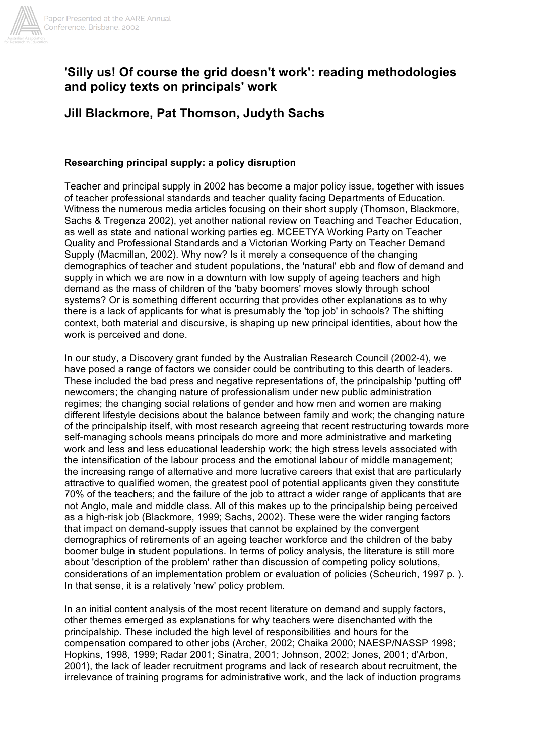

# **'Silly us! Of course the grid doesn't work': reading methodologies and policy texts on principals' work**

**Jill Blackmore, Pat Thomson, Judyth Sachs**

# **Researching principal supply: a policy disruption**

Teacher and principal supply in 2002 has become a major policy issue, together with issues of teacher professional standards and teacher quality facing Departments of Education. Witness the numerous media articles focusing on their short supply (Thomson, Blackmore, Sachs & Tregenza 2002), yet another national review on Teaching and Teacher Education, as well as state and national working parties eg. MCEETYA Working Party on Teacher Quality and Professional Standards and a Victorian Working Party on Teacher Demand Supply (Macmillan, 2002). Why now? Is it merely a consequence of the changing demographics of teacher and student populations, the 'natural' ebb and flow of demand and supply in which we are now in a downturn with low supply of ageing teachers and high demand as the mass of children of the 'baby boomers' moves slowly through school systems? Or is something different occurring that provides other explanations as to why there is a lack of applicants for what is presumably the 'top job' in schools? The shifting context, both material and discursive, is shaping up new principal identities, about how the work is perceived and done.

In our study, a Discovery grant funded by the Australian Research Council (2002-4), we have posed a range of factors we consider could be contributing to this dearth of leaders. These included the bad press and negative representations of, the principalship 'putting off' newcomers; the changing nature of professionalism under new public administration regimes; the changing social relations of gender and how men and women are making different lifestyle decisions about the balance between family and work; the changing nature of the principalship itself, with most research agreeing that recent restructuring towards more self-managing schools means principals do more and more administrative and marketing work and less and less educational leadership work; the high stress levels associated with the intensification of the labour process and the emotional labour of middle management; the increasing range of alternative and more lucrative careers that exist that are particularly attractive to qualified women, the greatest pool of potential applicants given they constitute 70% of the teachers; and the failure of the job to attract a wider range of applicants that are not Anglo, male and middle class. All of this makes up to the principalship being perceived as a high-risk job (Blackmore, 1999; Sachs, 2002). These were the wider ranging factors that impact on demand-supply issues that cannot be explained by the convergent demographics of retirements of an ageing teacher workforce and the children of the baby boomer bulge in student populations. In terms of policy analysis, the literature is still more about 'description of the problem' rather than discussion of competing policy solutions, considerations of an implementation problem or evaluation of policies (Scheurich, 1997 p. ). In that sense, it is a relatively 'new' policy problem.

In an initial content analysis of the most recent literature on demand and supply factors, other themes emerged as explanations for why teachers were disenchanted with the principalship. These included the high level of responsibilities and hours for the compensation compared to other jobs (Archer, 2002; Chaika 2000; NAESP/NASSP 1998; Hopkins, 1998, 1999; Radar 2001; Sinatra, 2001; Johnson, 2002; Jones, 2001; d'Arbon, 2001), the lack of leader recruitment programs and lack of research about recruitment, the irrelevance of training programs for administrative work, and the lack of induction programs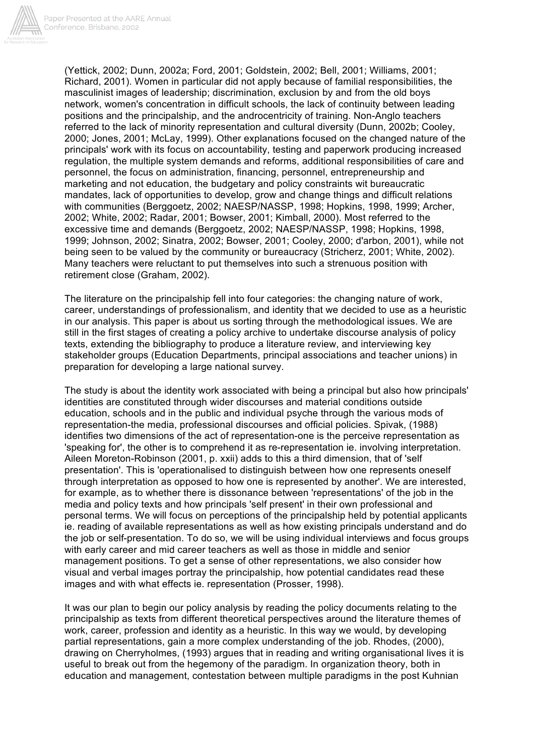

(Yettick, 2002; Dunn, 2002a; Ford, 2001; Goldstein, 2002; Bell, 2001; Williams, 2001; Richard, 2001). Women in particular did not apply because of familial responsibilities, the masculinist images of leadership; discrimination, exclusion by and from the old boys network, women's concentration in difficult schools, the lack of continuity between leading positions and the principalship, and the androcentricity of training. Non-Anglo teachers referred to the lack of minority representation and cultural diversity (Dunn, 2002b; Cooley, 2000; Jones, 2001; McLay, 1999). Other explanations focused on the changed nature of the principals' work with its focus on accountability, testing and paperwork producing increased regulation, the multiple system demands and reforms, additional responsibilities of care and personnel, the focus on administration, financing, personnel, entrepreneurship and marketing and not education, the budgetary and policy constraints wit bureaucratic mandates, lack of opportunities to develop, grow and change things and difficult relations with communities (Berggoetz, 2002; NAESP/NASSP, 1998; Hopkins, 1998, 1999; Archer, 2002; White, 2002; Radar, 2001; Bowser, 2001; Kimball, 2000). Most referred to the excessive time and demands (Berggoetz, 2002; NAESP/NASSP, 1998; Hopkins, 1998, 1999; Johnson, 2002; Sinatra, 2002; Bowser, 2001; Cooley, 2000; d'arbon, 2001), while not being seen to be valued by the community or bureaucracy (Stricherz, 2001; White, 2002). Many teachers were reluctant to put themselves into such a strenuous position with retirement close (Graham, 2002).

The literature on the principalship fell into four categories: the changing nature of work, career, understandings of professionalism, and identity that we decided to use as a heuristic in our analysis. This paper is about us sorting through the methodological issues. We are still in the first stages of creating a policy archive to undertake discourse analysis of policy texts, extending the bibliography to produce a literature review, and interviewing key stakeholder groups (Education Departments, principal associations and teacher unions) in preparation for developing a large national survey.

The study is about the identity work associated with being a principal but also how principals' identities are constituted through wider discourses and material conditions outside education, schools and in the public and individual psyche through the various mods of representation-the media, professional discourses and official policies. Spivak, (1988) identifies two dimensions of the act of representation-one is the perceive representation as 'speaking for', the other is to comprehend it as re-representation ie. involving interpretation. Aileen Moreton-Robinson (2001, p. xxii) adds to this a third dimension, that of 'self presentation'. This is 'operationalised to distinguish between how one represents oneself through interpretation as opposed to how one is represented by another'. We are interested, for example, as to whether there is dissonance between 'representations' of the job in the media and policy texts and how principals 'self present' in their own professional and personal terms. We will focus on perceptions of the principalship held by potential applicants ie. reading of available representations as well as how existing principals understand and do the job or self-presentation. To do so, we will be using individual interviews and focus groups with early career and mid career teachers as well as those in middle and senior management positions. To get a sense of other representations, we also consider how visual and verbal images portray the principalship, how potential candidates read these images and with what effects ie. representation (Prosser, 1998).

It was our plan to begin our policy analysis by reading the policy documents relating to the principalship as texts from different theoretical perspectives around the literature themes of work, career, profession and identity as a heuristic. In this way we would, by developing partial representations, gain a more complex understanding of the job. Rhodes, (2000), drawing on Cherryholmes, (1993) argues that in reading and writing organisational lives it is useful to break out from the hegemony of the paradigm. In organization theory, both in education and management, contestation between multiple paradigms in the post Kuhnian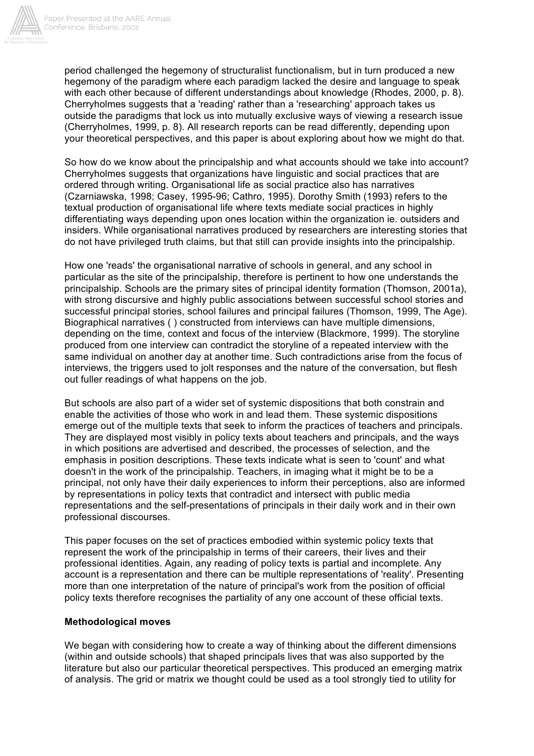

period challenged the hegemony of structuralist functionalism, but in turn produced a new hegemony of the paradigm where each paradigm lacked the desire and language to speak with each other because of different understandings about knowledge (Rhodes, 2000, p. 8). Cherryholmes suggests that a 'reading' rather than a 'researching' approach takes us outside the paradigms that lock us into mutually exclusive ways of viewing a research issue (Cherryholmes, 1999, p. 8). All research reports can be read differently, depending upon your theoretical perspectives, and this paper is about exploring about how we might do that.

So how do we know about the principalship and what accounts should we take into account? Cherryholmes suggests that organizations have linguistic and social practices that are ordered through writing. Organisational life as social practice also has narratives (Czarniawska, 1998; Casey, 1995-96; Cathro, 1995). Dorothy Smith (1993) refers to the textual production of organisational life where texts mediate social practices in highly differentiating ways depending upon ones location within the organization ie. outsiders and insiders. While organisational narratives produced by researchers are interesting stories that do not have privileged truth claims, but that still can provide insights into the principalship.

How one 'reads' the organisational narrative of schools in general, and any school in particular as the site of the principalship, therefore is pertinent to how one understands the principalship. Schools are the primary sites of principal identity formation (Thomson, 2001a), with strong discursive and highly public associations between successful school stories and successful principal stories, school failures and principal failures (Thomson, 1999, The Age). Biographical narratives ( ) constructed from interviews can have multiple dimensions, depending on the time, context and focus of the interview (Blackmore, 1999). The storyline produced from one interview can contradict the storyline of a repeated interview with the same individual on another day at another time. Such contradictions arise from the focus of interviews, the triggers used to jolt responses and the nature of the conversation, but flesh out fuller readings of what happens on the job.

But schools are also part of a wider set of systemic dispositions that both constrain and enable the activities of those who work in and lead them. These systemic dispositions emerge out of the multiple texts that seek to inform the practices of teachers and principals. They are displayed most visibly in policy texts about teachers and principals, and the ways in which positions are advertised and described, the processes of selection, and the emphasis in position descriptions. These texts indicate what is seen to 'count' and what doesn't in the work of the principalship. Teachers, in imaging what it might be to be a principal, not only have their daily experiences to inform their perceptions, also are informed by representations in policy texts that contradict and intersect with public media representations and the self-presentations of principals in their daily work and in their own professional discourses.

This paper focuses on the set of practices embodied within systemic policy texts that represent the work of the principalship in terms of their careers, their lives and their professional identities. Again, any reading of policy texts is partial and incomplete. Any account is a representation and there can be multiple representations of 'reality'. Presenting more than one interpretation of the nature of principal's work from the position of official policy texts therefore recognises the partiality of any one account of these official texts.

# **Methodological moves**

We began with considering how to create a way of thinking about the different dimensions (within and outside schools) that shaped principals lives that was also supported by the literature but also our particular theoretical perspectives. This produced an emerging matrix of analysis. The grid or matrix we thought could be used as a tool strongly tied to utility for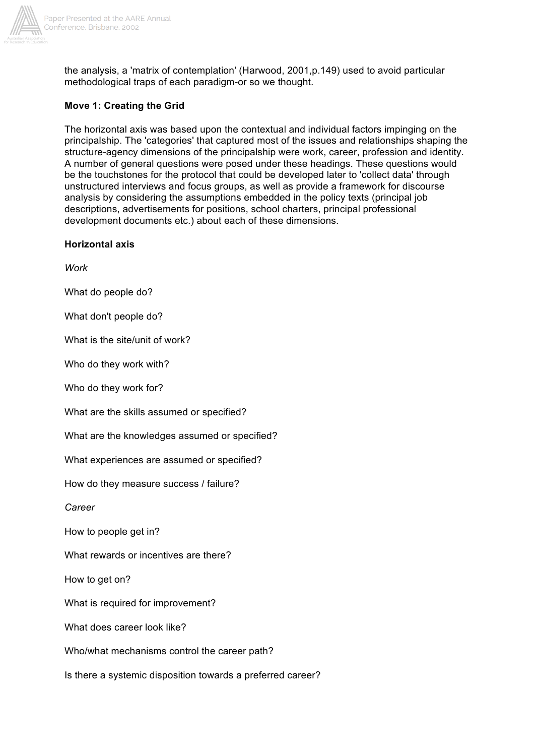

the analysis, a 'matrix of contemplation' (Harwood, 2001,p.149) used to avoid particular methodological traps of each paradigm-or so we thought.

# **Move 1: Creating the Grid**

The horizontal axis was based upon the contextual and individual factors impinging on the principalship. The 'categories' that captured most of the issues and relationships shaping the structure-agency dimensions of the principalship were work, career, profession and identity. A number of general questions were posed under these headings. These questions would be the touchstones for the protocol that could be developed later to 'collect data' through unstructured interviews and focus groups, as well as provide a framework for discourse analysis by considering the assumptions embedded in the policy texts (principal job descriptions, advertisements for positions, school charters, principal professional development documents etc.) about each of these dimensions.

### **Horizontal axis**

*Work*

What do people do?

What don't people do?

What is the site/unit of work?

Who do they work with?

Who do they work for?

What are the skills assumed or specified?

What are the knowledges assumed or specified?

What experiences are assumed or specified?

How do they measure success / failure?

*Career*

How to people get in?

What rewards or incentives are there?

How to get on?

What is required for improvement?

What does career look like?

Who/what mechanisms control the career path?

Is there a systemic disposition towards a preferred career?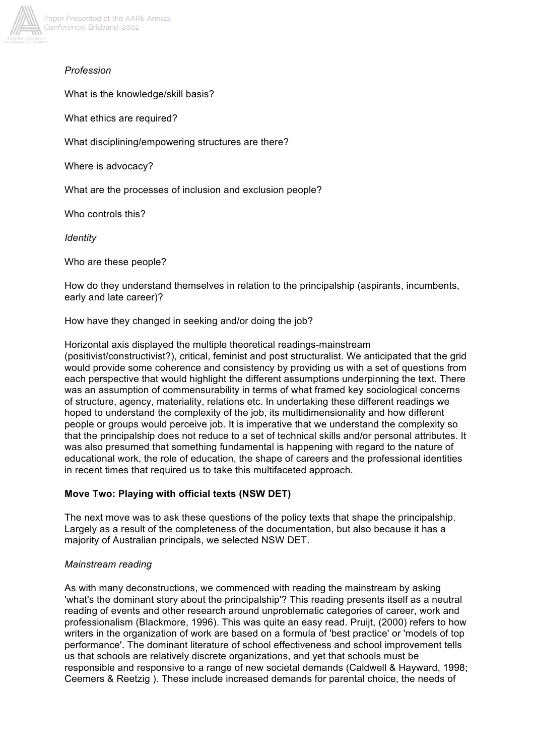

# *Profession*

What is the knowledge/skill basis?

What ethics are required?

What disciplining/empowering structures are there?

Where is advocacy?

What are the processes of inclusion and exclusion people?

Who controls this?

*Identity*

Who are these people?

How do they understand themselves in relation to the principalship (aspirants, incumbents, early and late career)?

How have they changed in seeking and/or doing the job?

Horizontal axis displayed the multiple theoretical readings-mainstream (positivist/constructivist?), critical, feminist and post structuralist. We anticipated that the grid would provide some coherence and consistency by providing us with a set of questions from each perspective that would highlight the different assumptions underpinning the text. There was an assumption of commensurability in terms of what framed key sociological concerns of structure, agency, materiality, relations etc. In undertaking these different readings we hoped to understand the complexity of the job, its multidimensionality and how different people or groups would perceive job. It is imperative that we understand the complexity so that the principalship does not reduce to a set of technical skills and/or personal attributes. It was also presumed that something fundamental is happening with regard to the nature of educational work, the role of education, the shape of careers and the professional identities in recent times that required us to take this multifaceted approach.

# **Move Two: Playing with official texts (NSW DET)**

The next move was to ask these questions of the policy texts that shape the principalship. Largely as a result of the completeness of the documentation, but also because it has a majority of Australian principals, we selected NSW DET.

#### *Mainstream reading*

As with many deconstructions, we commenced with reading the mainstream by asking 'what's the dominant story about the principalship'? This reading presents itself as a neutral reading of events and other research around unproblematic categories of career, work and professionalism (Blackmore, 1996). This was quite an easy read. Pruijt, (2000) refers to how writers in the organization of work are based on a formula of 'best practice' or 'models of top performance'. The dominant literature of school effectiveness and school improvement tells us that schools are relatively discrete organizations, and yet that schools must be responsible and responsive to a range of new societal demands (Caldwell & Hayward, 1998; Ceemers & Reetzig ). These include increased demands for parental choice, the needs of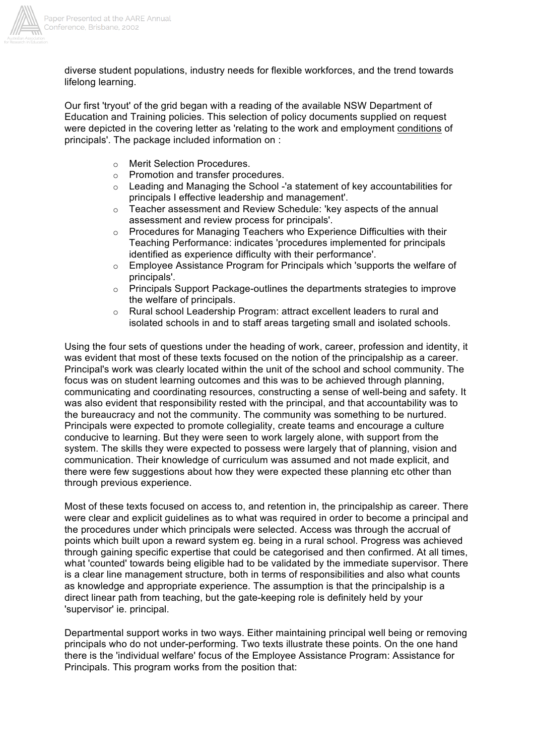

diverse student populations, industry needs for flexible workforces, and the trend towards lifelong learning.

Our first 'tryout' of the grid began with a reading of the available NSW Department of Education and Training policies. This selection of policy documents supplied on request were depicted in the covering letter as 'relating to the work and employment conditions of principals'. The package included information on :

- o Merit Selection Procedures.
- o Promotion and transfer procedures.
- $\circ$  Leading and Managing the School -'a statement of key accountabilities for principals I effective leadership and management'.
- $\circ$  Teacher assessment and Review Schedule: 'key aspects of the annual assessment and review process for principals'.
- $\circ$  Procedures for Managing Teachers who Experience Difficulties with their Teaching Performance: indicates 'procedures implemented for principals identified as experience difficulty with their performance'.
- $\circ$  Employee Assistance Program for Principals which 'supports the welfare of principals'.
- o Principals Support Package-outlines the departments strategies to improve the welfare of principals.
- o Rural school Leadership Program: attract excellent leaders to rural and isolated schools in and to staff areas targeting small and isolated schools.

Using the four sets of questions under the heading of work, career, profession and identity, it was evident that most of these texts focused on the notion of the principalship as a career. Principal's work was clearly located within the unit of the school and school community. The focus was on student learning outcomes and this was to be achieved through planning, communicating and coordinating resources, constructing a sense of well-being and safety. It was also evident that responsibility rested with the principal, and that accountability was to the bureaucracy and not the community. The community was something to be nurtured. Principals were expected to promote collegiality, create teams and encourage a culture conducive to learning. But they were seen to work largely alone, with support from the system. The skills they were expected to possess were largely that of planning, vision and communication. Their knowledge of curriculum was assumed and not made explicit, and there were few suggestions about how they were expected these planning etc other than through previous experience.

Most of these texts focused on access to, and retention in, the principalship as career. There were clear and explicit guidelines as to what was required in order to become a principal and the procedures under which principals were selected. Access was through the accrual of points which built upon a reward system eg. being in a rural school. Progress was achieved through gaining specific expertise that could be categorised and then confirmed. At all times, what 'counted' towards being eligible had to be validated by the immediate supervisor. There is a clear line management structure, both in terms of responsibilities and also what counts as knowledge and appropriate experience. The assumption is that the principalship is a direct linear path from teaching, but the gate-keeping role is definitely held by your 'supervisor' ie. principal.

Departmental support works in two ways. Either maintaining principal well being or removing principals who do not under-performing. Two texts illustrate these points. On the one hand there is the 'individual welfare' focus of the Employee Assistance Program: Assistance for Principals. This program works from the position that: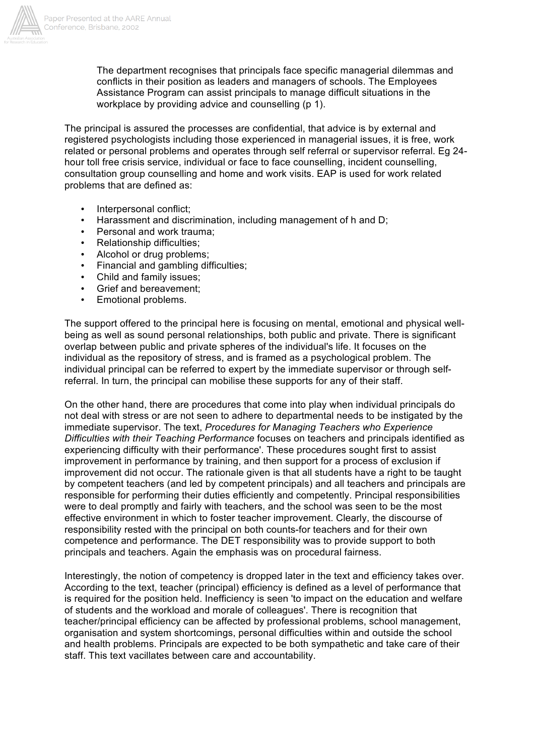

The department recognises that principals face specific managerial dilemmas and conflicts in their position as leaders and managers of schools. The Employees Assistance Program can assist principals to manage difficult situations in the workplace by providing advice and counselling (p 1).

The principal is assured the processes are confidential, that advice is by external and registered psychologists including those experienced in managerial issues, it is free, work related or personal problems and operates through self referral or supervisor referral. Eg 24 hour toll free crisis service, individual or face to face counselling, incident counselling, consultation group counselling and home and work visits. EAP is used for work related problems that are defined as:

- Interpersonal conflict;
- Harassment and discrimination, including management of h and D;
- Personal and work trauma;
- Relationship difficulties;
- Alcohol or drug problems:
- Financial and gambling difficulties;
- Child and family issues;
- Grief and bereavement;
- Emotional problems.

The support offered to the principal here is focusing on mental, emotional and physical wellbeing as well as sound personal relationships, both public and private. There is significant overlap between public and private spheres of the individual's life. It focuses on the individual as the repository of stress, and is framed as a psychological problem. The individual principal can be referred to expert by the immediate supervisor or through selfreferral. In turn, the principal can mobilise these supports for any of their staff.

On the other hand, there are procedures that come into play when individual principals do not deal with stress or are not seen to adhere to departmental needs to be instigated by the immediate supervisor. The text, *Procedures for Managing Teachers who Experience Difficulties with their Teaching Performance* focuses on teachers and principals identified as experiencing difficulty with their performance'. These procedures sought first to assist improvement in performance by training, and then support for a process of exclusion if improvement did not occur. The rationale given is that all students have a right to be taught by competent teachers (and led by competent principals) and all teachers and principals are responsible for performing their duties efficiently and competently. Principal responsibilities were to deal promptly and fairly with teachers, and the school was seen to be the most effective environment in which to foster teacher improvement. Clearly, the discourse of responsibility rested with the principal on both counts-for teachers and for their own competence and performance. The DET responsibility was to provide support to both principals and teachers. Again the emphasis was on procedural fairness.

Interestingly, the notion of competency is dropped later in the text and efficiency takes over. According to the text, teacher (principal) efficiency is defined as a level of performance that is required for the position held. Inefficiency is seen 'to impact on the education and welfare of students and the workload and morale of colleagues'. There is recognition that teacher/principal efficiency can be affected by professional problems, school management, organisation and system shortcomings, personal difficulties within and outside the school and health problems. Principals are expected to be both sympathetic and take care of their staff. This text vacillates between care and accountability.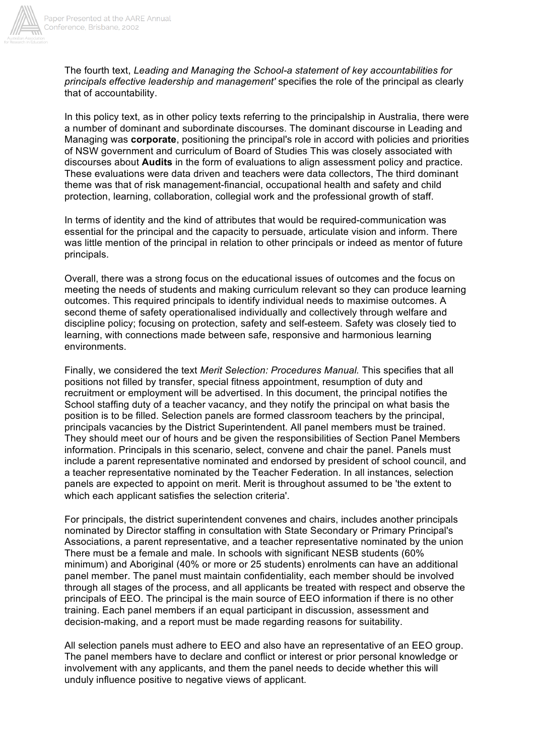

The fourth text, *Leading and Managing the School-a statement of key accountabilities for principals effective leadership and management'* specifies the role of the principal as clearly that of accountability.

In this policy text, as in other policy texts referring to the principalship in Australia, there were a number of dominant and subordinate discourses. The dominant discourse in Leading and Managing was **corporate**, positioning the principal's role in accord with policies and priorities of NSW government and curriculum of Board of Studies This was closely associated with discourses about **Audits** in the form of evaluations to align assessment policy and practice. These evaluations were data driven and teachers were data collectors, The third dominant theme was that of risk management-financial, occupational health and safety and child protection, learning, collaboration, collegial work and the professional growth of staff.

In terms of identity and the kind of attributes that would be required-communication was essential for the principal and the capacity to persuade, articulate vision and inform. There was little mention of the principal in relation to other principals or indeed as mentor of future principals.

Overall, there was a strong focus on the educational issues of outcomes and the focus on meeting the needs of students and making curriculum relevant so they can produce learning outcomes. This required principals to identify individual needs to maximise outcomes. A second theme of safety operationalised individually and collectively through welfare and discipline policy; focusing on protection, safety and self-esteem. Safety was closely tied to learning, with connections made between safe, responsive and harmonious learning environments.

Finally, we considered the text *Merit Selection: Procedures Manual.* This specifies that all positions not filled by transfer, special fitness appointment, resumption of duty and recruitment or employment will be advertised. In this document, the principal notifies the School staffing duty of a teacher vacancy, and they notify the principal on what basis the position is to be filled. Selection panels are formed classroom teachers by the principal, principals vacancies by the District Superintendent. All panel members must be trained. They should meet our of hours and be given the responsibilities of Section Panel Members information. Principals in this scenario, select, convene and chair the panel. Panels must include a parent representative nominated and endorsed by president of school council, and a teacher representative nominated by the Teacher Federation. In all instances, selection panels are expected to appoint on merit. Merit is throughout assumed to be 'the extent to which each applicant satisfies the selection criteria'.

For principals, the district superintendent convenes and chairs, includes another principals nominated by Director staffing in consultation with State Secondary or Primary Principal's Associations, a parent representative, and a teacher representative nominated by the union There must be a female and male. In schools with significant NESB students (60% minimum) and Aboriginal (40% or more or 25 students) enrolments can have an additional panel member. The panel must maintain confidentiality, each member should be involved through all stages of the process, and all applicants be treated with respect and observe the principals of EEO. The principal is the main source of EEO information if there is no other training. Each panel members if an equal participant in discussion, assessment and decision-making, and a report must be made regarding reasons for suitability.

All selection panels must adhere to EEO and also have an representative of an EEO group. The panel members have to declare and conflict or interest or prior personal knowledge or involvement with any applicants, and them the panel needs to decide whether this will unduly influence positive to negative views of applicant.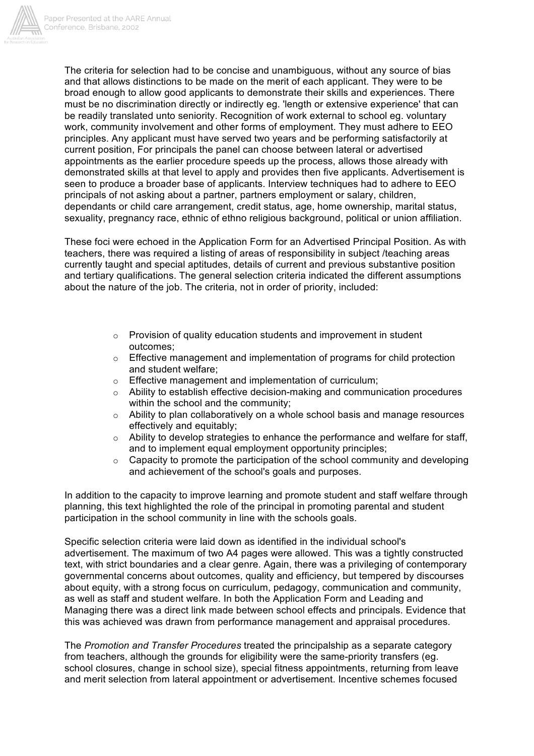

The criteria for selection had to be concise and unambiguous, without any source of bias and that allows distinctions to be made on the merit of each applicant. They were to be broad enough to allow good applicants to demonstrate their skills and experiences. There must be no discrimination directly or indirectly eg. 'length or extensive experience' that can be readily translated unto seniority. Recognition of work external to school eg. voluntary work, community involvement and other forms of employment. They must adhere to EEO principles. Any applicant must have served two years and be performing satisfactorily at current position, For principals the panel can choose between lateral or advertised appointments as the earlier procedure speeds up the process, allows those already with demonstrated skills at that level to apply and provides then five applicants. Advertisement is seen to produce a broader base of applicants. Interview techniques had to adhere to EEO principals of not asking about a partner, partners employment or salary, children, dependants or child care arrangement, credit status, age, home ownership, marital status, sexuality, pregnancy race, ethnic of ethno religious background, political or union affiliation.

These foci were echoed in the Application Form for an Advertised Principal Position. As with teachers, there was required a listing of areas of responsibility in subject /teaching areas currently taught and special aptitudes, details of current and previous substantive position and tertiary qualifications. The general selection criteria indicated the different assumptions about the nature of the job. The criteria, not in order of priority, included:

- o Provision of quality education students and improvement in student outcomes;
- $\circ$  Effective management and implementation of programs for child protection and student welfare;
- o Effective management and implementation of curriculum;
- Ability to establish effective decision-making and communication procedures within the school and the community:
- o Ability to plan collaboratively on a whole school basis and manage resources effectively and equitably;
- o Ability to develop strategies to enhance the performance and welfare for staff, and to implement equal employment opportunity principles;
- $\circ$  Capacity to promote the participation of the school community and developing and achievement of the school's goals and purposes.

In addition to the capacity to improve learning and promote student and staff welfare through planning, this text highlighted the role of the principal in promoting parental and student participation in the school community in line with the schools goals.

Specific selection criteria were laid down as identified in the individual school's advertisement. The maximum of two A4 pages were allowed. This was a tightly constructed text, with strict boundaries and a clear genre. Again, there was a privileging of contemporary governmental concerns about outcomes, quality and efficiency, but tempered by discourses about equity, with a strong focus on curriculum, pedagogy, communication and community, as well as staff and student welfare. In both the Application Form and Leading and Managing there was a direct link made between school effects and principals. Evidence that this was achieved was drawn from performance management and appraisal procedures.

The *Promotion and Transfer Procedures* treated the principalship as a separate category from teachers, although the grounds for eligibility were the same-priority transfers (eg. school closures, change in school size), special fitness appointments, returning from leave and merit selection from lateral appointment or advertisement. Incentive schemes focused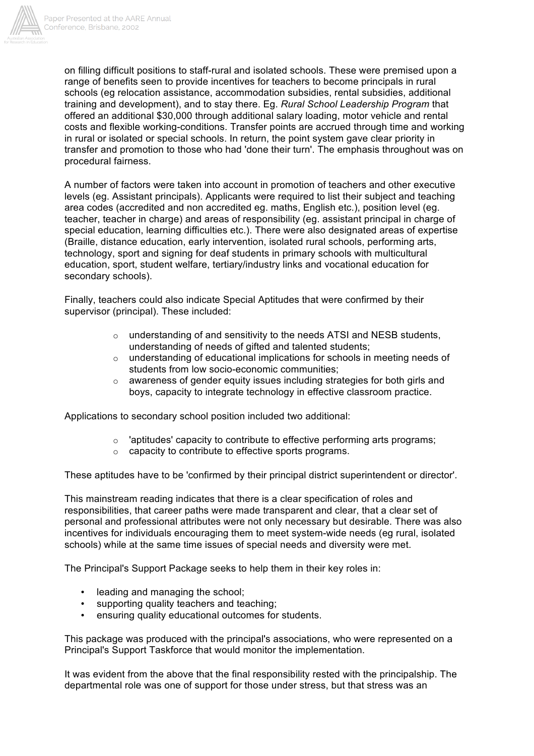

on filling difficult positions to staff-rural and isolated schools. These were premised upon a range of benefits seen to provide incentives for teachers to become principals in rural schools (eg relocation assistance, accommodation subsidies, rental subsidies, additional training and development), and to stay there. Eg. *Rural School Leadership Program* that offered an additional \$30,000 through additional salary loading, motor vehicle and rental costs and flexible working-conditions. Transfer points are accrued through time and working in rural or isolated or special schools. In return, the point system gave clear priority in transfer and promotion to those who had 'done their turn'. The emphasis throughout was on procedural fairness.

A number of factors were taken into account in promotion of teachers and other executive levels (eg. Assistant principals). Applicants were required to list their subject and teaching area codes (accredited and non accredited eg. maths, English etc.), position level (eg. teacher, teacher in charge) and areas of responsibility (eg. assistant principal in charge of special education, learning difficulties etc.). There were also designated areas of expertise (Braille, distance education, early intervention, isolated rural schools, performing arts, technology, sport and signing for deaf students in primary schools with multicultural education, sport, student welfare, tertiary/industry links and vocational education for secondary schools).

Finally, teachers could also indicate Special Aptitudes that were confirmed by their supervisor (principal). These included:

- $\circ$  understanding of and sensitivity to the needs ATSI and NESB students, understanding of needs of gifted and talented students;
- $\circ$  understanding of educational implications for schools in meeting needs of students from low socio-economic communities;
- $\circ$  awareness of gender equity issues including strategies for both girls and boys, capacity to integrate technology in effective classroom practice.

Applications to secondary school position included two additional:

- $\circ$  'aptitudes' capacity to contribute to effective performing arts programs;
- o capacity to contribute to effective sports programs.

These aptitudes have to be 'confirmed by their principal district superintendent or director'.

This mainstream reading indicates that there is a clear specification of roles and responsibilities, that career paths were made transparent and clear, that a clear set of personal and professional attributes were not only necessary but desirable. There was also incentives for individuals encouraging them to meet system-wide needs (eg rural, isolated schools) while at the same time issues of special needs and diversity were met.

The Principal's Support Package seeks to help them in their key roles in:

- leading and managing the school;
- supporting quality teachers and teaching;
- ensuring quality educational outcomes for students.

This package was produced with the principal's associations, who were represented on a Principal's Support Taskforce that would monitor the implementation.

It was evident from the above that the final responsibility rested with the principalship. The departmental role was one of support for those under stress, but that stress was an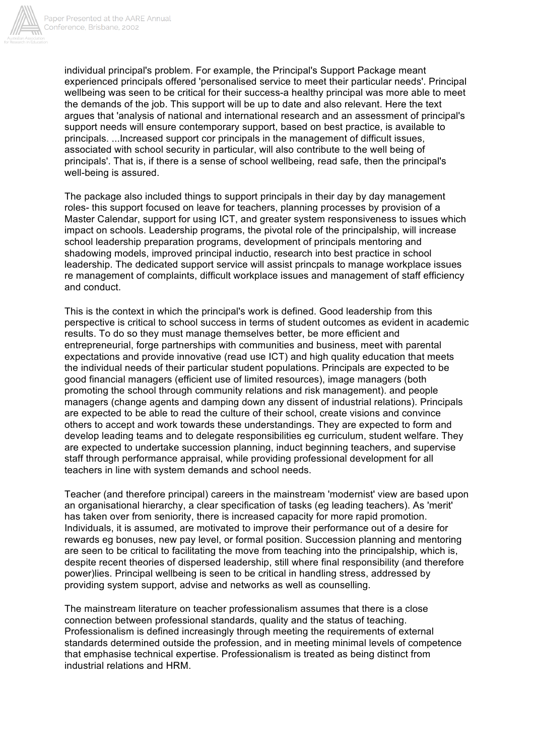

individual principal's problem. For example, the Principal's Support Package meant experienced principals offered 'personalised service to meet their particular needs'. Principal wellbeing was seen to be critical for their success-a healthy principal was more able to meet the demands of the job. This support will be up to date and also relevant. Here the text argues that 'analysis of national and international research and an assessment of principal's support needs will ensure contemporary support, based on best practice, is available to principals. ...Increased support cor principals in the management of difficult issues, associated with school security in particular, will also contribute to the well being of principals'. That is, if there is a sense of school wellbeing, read safe, then the principal's well-being is assured.

The package also included things to support principals in their day by day management roles- this support focused on leave for teachers, planning processes by provision of a Master Calendar, support for using ICT, and greater system responsiveness to issues which impact on schools. Leadership programs, the pivotal role of the principalship, will increase school leadership preparation programs, development of principals mentoring and shadowing models, improved principal inductio, research into best practice in school leadership. The dedicated support service will assist princpals to manage workplace issues re management of complaints, difficult workplace issues and management of staff efficiency and conduct.

This is the context in which the principal's work is defined. Good leadership from this perspective is critical to school success in terms of student outcomes as evident in academic results. To do so they must manage themselves better, be more efficient and entrepreneurial, forge partnerships with communities and business, meet with parental expectations and provide innovative (read use ICT) and high quality education that meets the individual needs of their particular student populations. Principals are expected to be good financial managers (efficient use of limited resources), image managers (both promoting the school through community relations and risk management). and people managers (change agents and damping down any dissent of industrial relations). Principals are expected to be able to read the culture of their school, create visions and convince others to accept and work towards these understandings. They are expected to form and develop leading teams and to delegate responsibilities eg curriculum, student welfare. They are expected to undertake succession planning, induct beginning teachers, and supervise staff through performance appraisal, while providing professional development for all teachers in line with system demands and school needs.

Teacher (and therefore principal) careers in the mainstream 'modernist' view are based upon an organisational hierarchy, a clear specification of tasks (eg leading teachers). As 'merit' has taken over from seniority, there is increased capacity for more rapid promotion. Individuals, it is assumed, are motivated to improve their performance out of a desire for rewards eg bonuses, new pay level, or formal position. Succession planning and mentoring are seen to be critical to facilitating the move from teaching into the principalship, which is, despite recent theories of dispersed leadership, still where final responsibility (and therefore power)lies. Principal wellbeing is seen to be critical in handling stress, addressed by providing system support, advise and networks as well as counselling.

The mainstream literature on teacher professionalism assumes that there is a close connection between professional standards, quality and the status of teaching. Professionalism is defined increasingly through meeting the requirements of external standards determined outside the profession, and in meeting minimal levels of competence that emphasise technical expertise. Professionalism is treated as being distinct from industrial relations and HRM.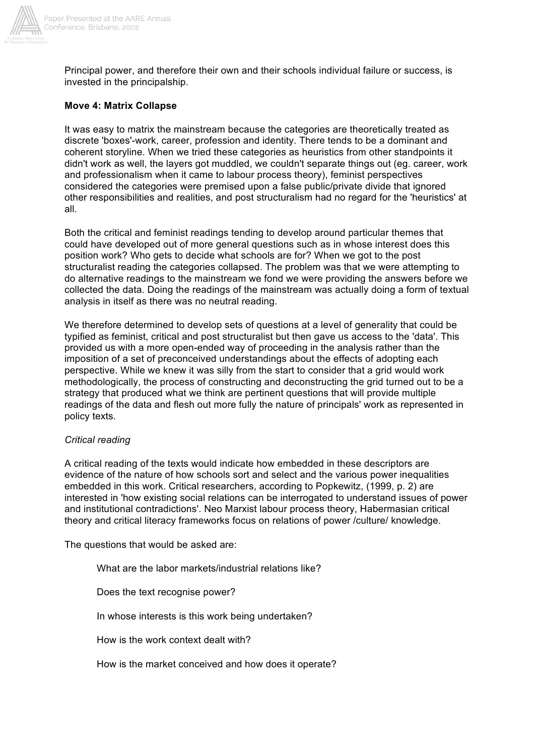

Principal power, and therefore their own and their schools individual failure or success, is invested in the principalship.

# **Move 4: Matrix Collapse**

It was easy to matrix the mainstream because the categories are theoretically treated as discrete 'boxes'-work, career, profession and identity. There tends to be a dominant and coherent storyline. When we tried these categories as heuristics from other standpoints it didn't work as well, the layers got muddled, we couldn't separate things out (eg. career, work and professionalism when it came to labour process theory), feminist perspectives considered the categories were premised upon a false public/private divide that ignored other responsibilities and realities, and post structuralism had no regard for the 'heuristics' at all.

Both the critical and feminist readings tending to develop around particular themes that could have developed out of more general questions such as in whose interest does this position work? Who gets to decide what schools are for? When we got to the post structuralist reading the categories collapsed. The problem was that we were attempting to do alternative readings to the mainstream we fond we were providing the answers before we collected the data. Doing the readings of the mainstream was actually doing a form of textual analysis in itself as there was no neutral reading.

We therefore determined to develop sets of questions at a level of generality that could be typified as feminist, critical and post structuralist but then gave us access to the 'data'. This provided us with a more open-ended way of proceeding in the analysis rather than the imposition of a set of preconceived understandings about the effects of adopting each perspective. While we knew it was silly from the start to consider that a grid would work methodologically, the process of constructing and deconstructing the grid turned out to be a strategy that produced what we think are pertinent questions that will provide multiple readings of the data and flesh out more fully the nature of principals' work as represented in policy texts.

#### *Critical reading*

A critical reading of the texts would indicate how embedded in these descriptors are evidence of the nature of how schools sort and select and the various power inequalities embedded in this work. Critical researchers, according to Popkewitz, (1999, p. 2) are interested in 'how existing social relations can be interrogated to understand issues of power and institutional contradictions'. Neo Marxist labour process theory, Habermasian critical theory and critical literacy frameworks focus on relations of power /culture/ knowledge.

The questions that would be asked are:

What are the labor markets/industrial relations like?

Does the text recognise power?

In whose interests is this work being undertaken?

How is the work context dealt with?

How is the market conceived and how does it operate?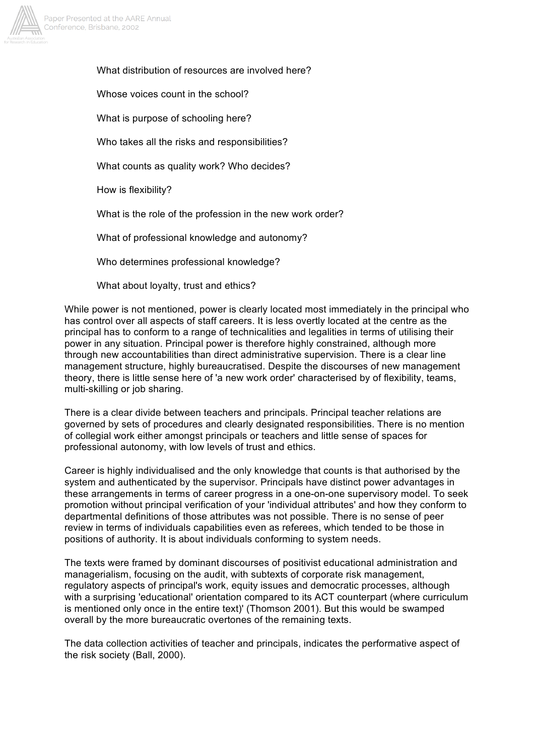

What distribution of resources are involved here?

Whose voices count in the school?

What is purpose of schooling here?

Who takes all the risks and responsibilities?

What counts as quality work? Who decides?

How is flexibility?

What is the role of the profession in the new work order?

What of professional knowledge and autonomy?

Who determines professional knowledge?

What about lovalty, trust and ethics?

While power is not mentioned, power is clearly located most immediately in the principal who has control over all aspects of staff careers. It is less overtly located at the centre as the principal has to conform to a range of technicalities and legalities in terms of utilising their power in any situation. Principal power is therefore highly constrained, although more through new accountabilities than direct administrative supervision. There is a clear line management structure, highly bureaucratised. Despite the discourses of new management theory, there is little sense here of 'a new work order' characterised by of flexibility, teams, multi-skilling or job sharing.

There is a clear divide between teachers and principals. Principal teacher relations are governed by sets of procedures and clearly designated responsibilities. There is no mention of collegial work either amongst principals or teachers and little sense of spaces for professional autonomy, with low levels of trust and ethics.

Career is highly individualised and the only knowledge that counts is that authorised by the system and authenticated by the supervisor. Principals have distinct power advantages in these arrangements in terms of career progress in a one-on-one supervisory model. To seek promotion without principal verification of your 'individual attributes' and how they conform to departmental definitions of those attributes was not possible. There is no sense of peer review in terms of individuals capabilities even as referees, which tended to be those in positions of authority. It is about individuals conforming to system needs.

The texts were framed by dominant discourses of positivist educational administration and managerialism, focusing on the audit, with subtexts of corporate risk management, regulatory aspects of principal's work, equity issues and democratic processes, although with a surprising 'educational' orientation compared to its ACT counterpart (where curriculum is mentioned only once in the entire text)' (Thomson 2001). But this would be swamped overall by the more bureaucratic overtones of the remaining texts.

The data collection activities of teacher and principals, indicates the performative aspect of the risk society (Ball, 2000).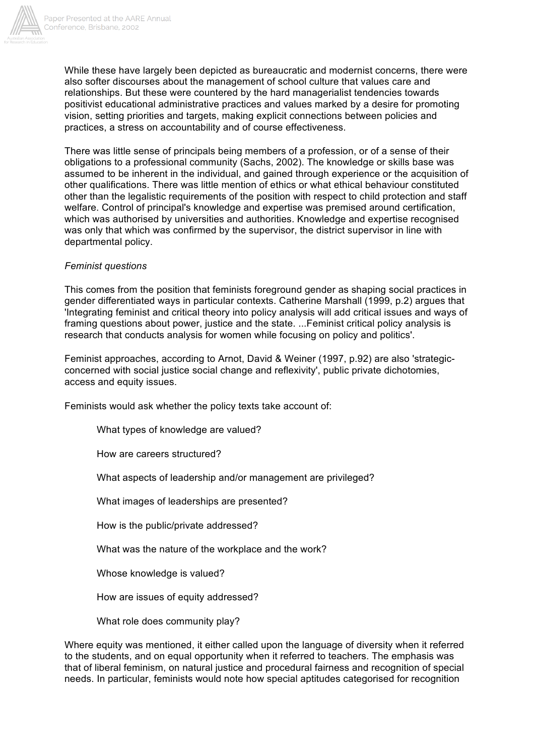

While these have largely been depicted as bureaucratic and modernist concerns, there were also softer discourses about the management of school culture that values care and relationships. But these were countered by the hard managerialist tendencies towards positivist educational administrative practices and values marked by a desire for promoting vision, setting priorities and targets, making explicit connections between policies and practices, a stress on accountability and of course effectiveness.

There was little sense of principals being members of a profession, or of a sense of their obligations to a professional community (Sachs, 2002). The knowledge or skills base was assumed to be inherent in the individual, and gained through experience or the acquisition of other qualifications. There was little mention of ethics or what ethical behaviour constituted other than the legalistic requirements of the position with respect to child protection and staff welfare. Control of principal's knowledge and expertise was premised around certification, which was authorised by universities and authorities. Knowledge and expertise recognised was only that which was confirmed by the supervisor, the district supervisor in line with departmental policy.

# *Feminist questions*

This comes from the position that feminists foreground gender as shaping social practices in gender differentiated ways in particular contexts. Catherine Marshall (1999, p.2) argues that 'Integrating feminist and critical theory into policy analysis will add critical issues and ways of framing questions about power, justice and the state. ...Feminist critical policy analysis is research that conducts analysis for women while focusing on policy and politics'.

Feminist approaches, according to Arnot, David & Weiner (1997, p.92) are also 'strategicconcerned with social justice social change and reflexivity', public private dichotomies, access and equity issues.

Feminists would ask whether the policy texts take account of:

What types of knowledge are valued?

How are careers structured?

What aspects of leadership and/or management are privileged?

What images of leaderships are presented?

How is the public/private addressed?

What was the nature of the workplace and the work?

Whose knowledge is valued?

How are issues of equity addressed?

What role does community play?

Where equity was mentioned, it either called upon the language of diversity when it referred to the students, and on equal opportunity when it referred to teachers. The emphasis was that of liberal feminism, on natural justice and procedural fairness and recognition of special needs. In particular, feminists would note how special aptitudes categorised for recognition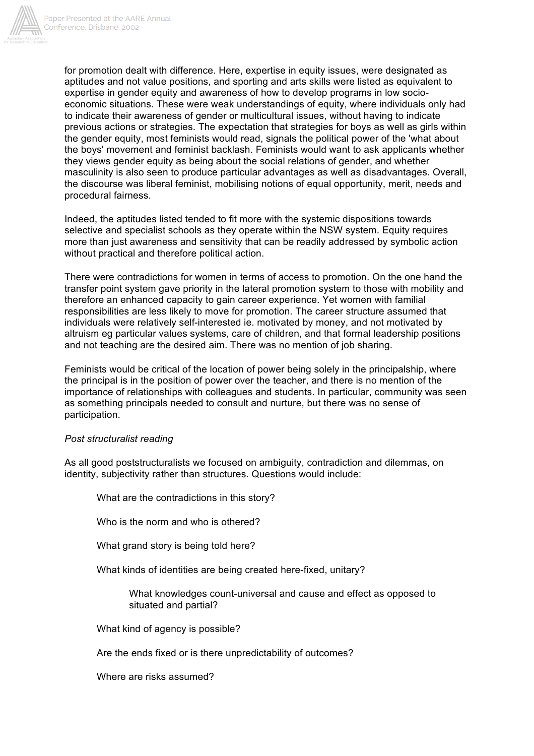

for promotion dealt with difference. Here, expertise in equity issues, were designated as aptitudes and not value positions, and sporting and arts skills were listed as equivalent to expertise in gender equity and awareness of how to develop programs in low socioeconomic situations. These were weak understandings of equity, where individuals only had to indicate their awareness of gender or multicultural issues, without having to indicate previous actions or strategies. The expectation that strategies for boys as well as girls within the gender equity, most feminists would read, signals the political power of the 'what about the boys' movement and feminist backlash. Feminists would want to ask applicants whether they views gender equity as being about the social relations of gender, and whether masculinity is also seen to produce particular advantages as well as disadvantages. Overall, the discourse was liberal feminist, mobilising notions of equal opportunity, merit, needs and procedural fairness.

Indeed, the aptitudes listed tended to fit more with the systemic dispositions towards selective and specialist schools as they operate within the NSW system. Equity requires more than just awareness and sensitivity that can be readily addressed by symbolic action without practical and therefore political action.

There were contradictions for women in terms of access to promotion. On the one hand the transfer point system gave priority in the lateral promotion system to those with mobility and therefore an enhanced capacity to gain career experience. Yet women with familial responsibilities are less likely to move for promotion. The career structure assumed that individuals were relatively self-interested ie. motivated by money, and not motivated by altruism eg particular values systems, care of children, and that formal leadership positions and not teaching are the desired aim. There was no mention of job sharing.

Feminists would be critical of the location of power being solely in the principalship, where the principal is in the position of power over the teacher, and there is no mention of the importance of relationships with colleagues and students. In particular, community was seen as something principals needed to consult and nurture, but there was no sense of participation.

# *Post structuralist reading*

As all good poststructuralists we focused on ambiguity, contradiction and dilemmas, on identity, subjectivity rather than structures. Questions would include:

What are the contradictions in this story? Who is the norm and who is othered? What grand story is being told here? What kinds of identities are being created here-fixed, unitary? What knowledges count-universal and cause and effect as opposed to situated and partial? What kind of agency is possible? Are the ends fixed or is there unpredictability of outcomes?

Where are risks assumed?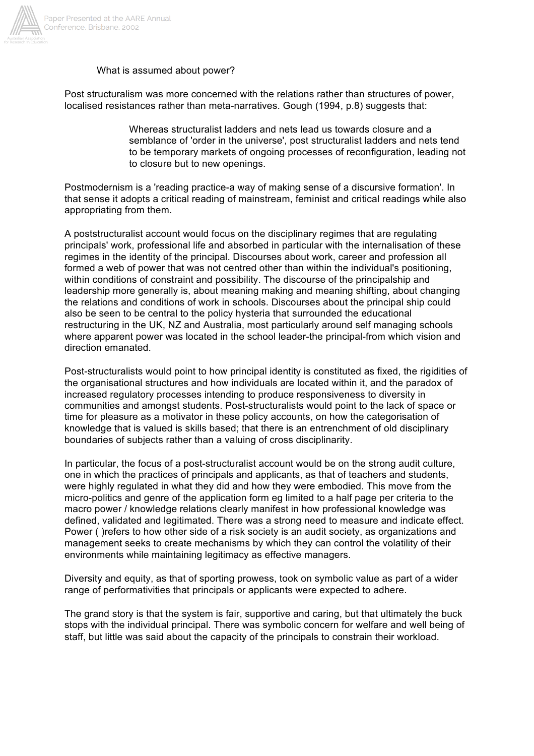

#### What is assumed about power?

Post structuralism was more concerned with the relations rather than structures of power, localised resistances rather than meta-narratives. Gough (1994, p.8) suggests that:

> Whereas structuralist ladders and nets lead us towards closure and a semblance of 'order in the universe', post structuralist ladders and nets tend to be temporary markets of ongoing processes of reconfiguration, leading not to closure but to new openings.

Postmodernism is a 'reading practice-a way of making sense of a discursive formation'. In that sense it adopts a critical reading of mainstream, feminist and critical readings while also appropriating from them.

A poststructuralist account would focus on the disciplinary regimes that are regulating principals' work, professional life and absorbed in particular with the internalisation of these regimes in the identity of the principal. Discourses about work, career and profession all formed a web of power that was not centred other than within the individual's positioning, within conditions of constraint and possibility. The discourse of the principalship and leadership more generally is, about meaning making and meaning shifting, about changing the relations and conditions of work in schools. Discourses about the principal ship could also be seen to be central to the policy hysteria that surrounded the educational restructuring in the UK, NZ and Australia, most particularly around self managing schools where apparent power was located in the school leader-the principal-from which vision and direction emanated.

Post-structuralists would point to how principal identity is constituted as fixed, the rigidities of the organisational structures and how individuals are located within it, and the paradox of increased regulatory processes intending to produce responsiveness to diversity in communities and amongst students. Post-structuralists would point to the lack of space or time for pleasure as a motivator in these policy accounts, on how the categorisation of knowledge that is valued is skills based; that there is an entrenchment of old disciplinary boundaries of subjects rather than a valuing of cross disciplinarity.

In particular, the focus of a post-structuralist account would be on the strong audit culture, one in which the practices of principals and applicants, as that of teachers and students, were highly regulated in what they did and how they were embodied. This move from the micro-politics and genre of the application form eg limited to a half page per criteria to the macro power / knowledge relations clearly manifest in how professional knowledge was defined, validated and legitimated. There was a strong need to measure and indicate effect. Power ( )refers to how other side of a risk society is an audit society, as organizations and management seeks to create mechanisms by which they can control the volatility of their environments while maintaining legitimacy as effective managers.

Diversity and equity, as that of sporting prowess, took on symbolic value as part of a wider range of performativities that principals or applicants were expected to adhere.

The grand story is that the system is fair, supportive and caring, but that ultimately the buck stops with the individual principal. There was symbolic concern for welfare and well being of staff, but little was said about the capacity of the principals to constrain their workload.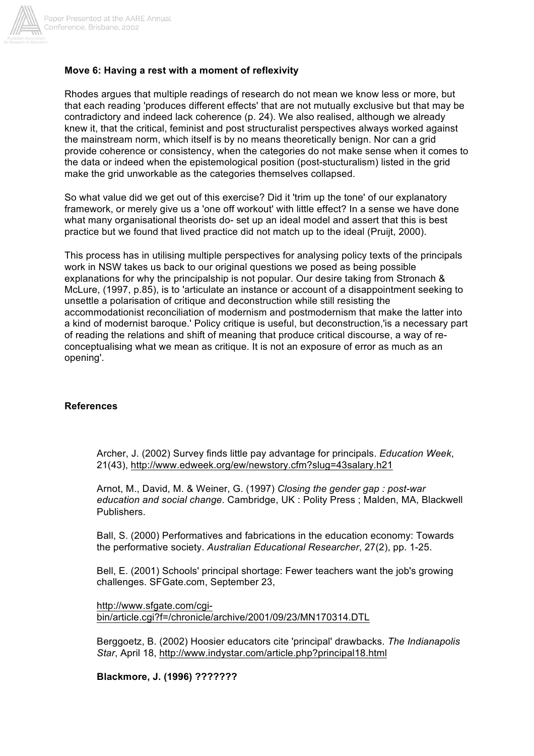

### **Move 6: Having a rest with a moment of reflexivity**

Rhodes argues that multiple readings of research do not mean we know less or more, but that each reading 'produces different effects' that are not mutually exclusive but that may be contradictory and indeed lack coherence (p. 24). We also realised, although we already knew it, that the critical, feminist and post structuralist perspectives always worked against the mainstream norm, which itself is by no means theoretically benign. Nor can a grid provide coherence or consistency, when the categories do not make sense when it comes to the data or indeed when the epistemological position (post-stucturalism) listed in the grid make the grid unworkable as the categories themselves collapsed.

So what value did we get out of this exercise? Did it 'trim up the tone' of our explanatory framework, or merely give us a 'one off workout' with little effect? In a sense we have done what many organisational theorists do- set up an ideal model and assert that this is best practice but we found that lived practice did not match up to the ideal (Pruijt, 2000).

This process has in utilising multiple perspectives for analysing policy texts of the principals work in NSW takes us back to our original questions we posed as being possible explanations for why the principalship is not popular. Our desire taking from Stronach & McLure, (1997, p.85), is to 'articulate an instance or account of a disappointment seeking to unsettle a polarisation of critique and deconstruction while still resisting the accommodationist reconciliation of modernism and postmodernism that make the latter into a kind of modernist baroque.' Policy critique is useful, but deconstruction,'is a necessary part of reading the relations and shift of meaning that produce critical discourse, a way of reconceptualising what we mean as critique. It is not an exposure of error as much as an opening'.

#### **References**

Archer, J. (2002) Survey finds little pay advantage for principals. *Education Week*, 21(43), http://www.edweek.org/ew/newstory.cfm?slug=43salary.h21

Arnot, M., David, M. & Weiner, G. (1997) *Closing the gender gap : post-war education and social change*. Cambridge, UK : Polity Press ; Malden, MA, Blackwell Publishers.

Ball, S. (2000) Performatives and fabrications in the education economy: Towards the performative society. *Australian Educational Researcher*, 27(2), pp. 1-25.

Bell, E. (2001) Schools' principal shortage: Fewer teachers want the job's growing challenges. SFGate.com, September 23,

http://www.sfgate.com/cgibin/article.cgi?f=/chronicle/archive/2001/09/23/MN170314.DTL

Berggoetz, B. (2002) Hoosier educators cite 'principal' drawbacks. *The Indianapolis Star*, April 18, http://www.indystar.com/article.php?principal18.html

**Blackmore, J. (1996) ???????**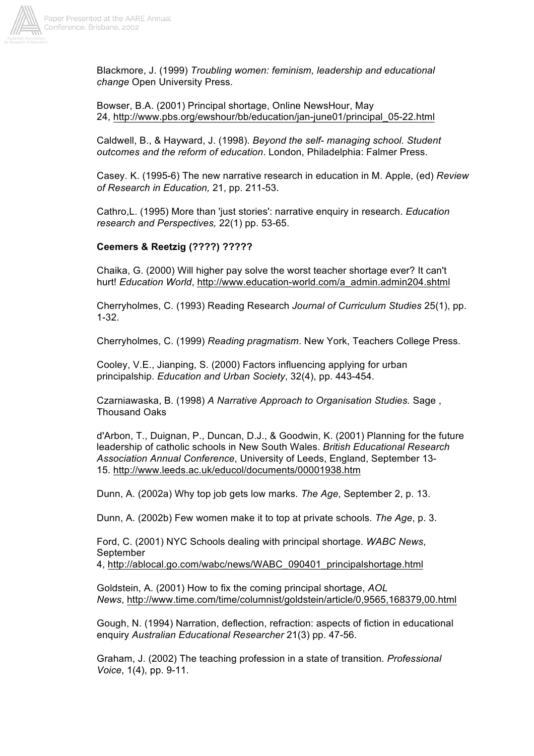

Blackmore, J. (1999) *Troubling women: feminism, leadership and educational change* Open University Press.

Bowser, B.A. (2001) Principal shortage, Online NewsHour, May 24, http://www.pbs.org/ewshour/bb/education/jan-june01/principal\_05-22.html

Caldwell, B., & Hayward, J. (1998). *Beyond the self- managing school. Student outcomes and the reform of education*. London, Philadelphia: Falmer Press.

Casey. K. (1995-6) The new narrative research in education in M. Apple, (ed) *Review of Research in Education,* 21, pp. 211-53.

Cathro,L. (1995) More than 'just stories': narrative enquiry in research. *Education research and Perspectives,* 22(1) pp. 53-65.

#### **Ceemers & Reetzig (????) ?????**

Chaika, G. (2000) Will higher pay solve the worst teacher shortage ever? It can't hurt! *Education World*, http://www.education-world.com/a\_admin.admin204.shtml

Cherryholmes, C. (1993) Reading Research *Journal of Curriculum Studies* 25(1), pp. 1-32.

Cherryholmes, C. (1999) *Reading pragmatism*. New York, Teachers College Press.

Cooley, V.E., Jianping, S. (2000) Factors influencing applying for urban principalship. *Education and Urban Society*, 32(4), pp. 443-454.

Czarniawaska, B. (1998) *A Narrative Approach to Organisation Studies.* Sage , Thousand Oaks

d'Arbon, T., Duignan, P., Duncan, D.J., & Goodwin, K. (2001) Planning for the future leadership of catholic schools in New South Wales. *British Educational Research Association Annual Conference*, University of Leeds, England, September 13- 15. http://www.leeds.ac.uk/educol/documents/00001938.htm

Dunn, A. (2002a) Why top job gets low marks. *The Age*, September 2, p. 13.

Dunn, A. (2002b) Few women make it to top at private schools. *The Age*, p. 3.

Ford, C. (2001) NYC Schools dealing with principal shortage. *WABC News*, September

4, http://ablocal.go.com/wabc/news/WABC\_090401\_principalshortage.html

Goldstein, A. (2001) How to fix the coming principal shortage, *AOL News*, http://www.time.com/time/columnist/goldstein/article/0,9565,168379,00.html

Gough, N. (1994) Narration, deflection, refraction: aspects of fiction in educational enquiry *Australian Educational Researcher* 21(3) pp. 47-56.

Graham, J. (2002) The teaching profession in a state of transition. *Professional Voice*, 1(4), pp. 9-11.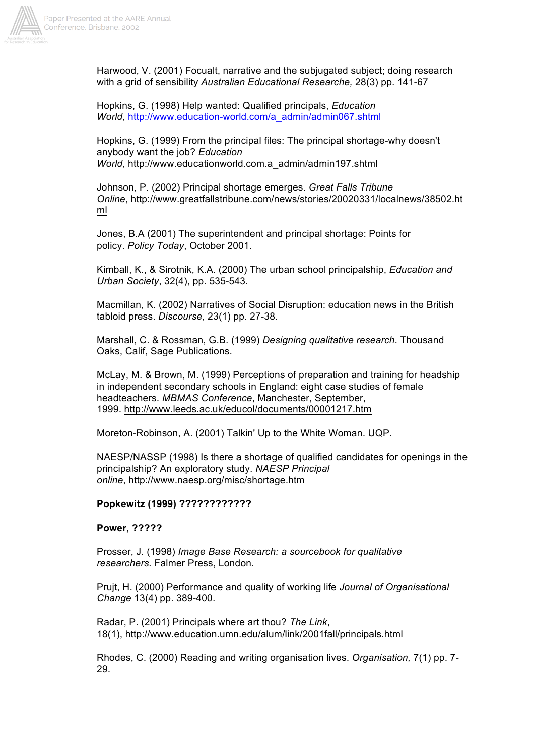

Harwood, V. (2001) Focualt, narrative and the subjugated subject; doing research with a grid of sensibility *Australian Educational Researche,* 28(3) pp. 141-67

Hopkins, G. (1998) Help wanted: Qualified principals, *Education World*, http://www.education-world.com/a\_admin/admin067.shtml

Hopkins, G. (1999) From the principal files: The principal shortage-why doesn't anybody want the job? *Education World*, http://www.educationworld.com.a\_admin/admin197.shtml

Johnson, P. (2002) Principal shortage emerges. *Great Falls Tribune Online*, http://www.greatfallstribune.com/news/stories/20020331/localnews/38502.ht ml

Jones, B.A (2001) The superintendent and principal shortage: Points for policy. *Policy Today*, October 2001.

Kimball, K., & Sirotnik, K.A. (2000) The urban school principalship, *Education and Urban Society*, 32(4), pp. 535-543.

Macmillan, K. (2002) Narratives of Social Disruption: education news in the British tabloid press. *Discourse*, 23(1) pp. 27-38.

Marshall, C. & Rossman, G.B. (1999) *Designing qualitative research*. Thousand Oaks, Calif, Sage Publications.

McLay, M. & Brown, M. (1999) Perceptions of preparation and training for headship in independent secondary schools in England: eight case studies of female headteachers. *MBMAS Conference*, Manchester, September, 1999. http://www.leeds.ac.uk/educol/documents/00001217.htm

Moreton-Robinson, A. (2001) Talkin' Up to the White Woman. UQP.

NAESP/NASSP (1998) Is there a shortage of qualified candidates for openings in the principalship? An exploratory study. *NAESP Principal online*, http://www.naesp.org/misc/shortage.htm

#### **Popkewitz (1999) ????????????**

**Power, ?????**

Prosser, J. (1998) *Image Base Research: a sourcebook for qualitative researchers.* Falmer Press, London.

Prujt, H. (2000) Performance and quality of working life *Journal of Organisational Change* 13(4) pp. 389-400.

Radar, P. (2001) Principals where art thou? *The Link*, 18(1), http://www.education.umn.edu/alum/link/2001fall/principals.html

Rhodes, C. (2000) Reading and writing organisation lives. *Organisation,* 7(1) pp. 7- 29.